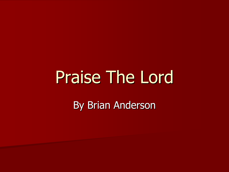# Praise The Lord By Brian Anderson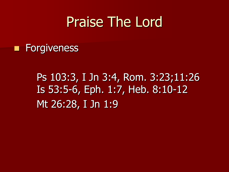■ Forgiveness

## Ps 103:3, I Jn 3:4, Rom. 3:23;11:26 Is 53:5-6, Eph. 1:7, Heb. 8:10-12 Mt 26:28, I Jn 1:9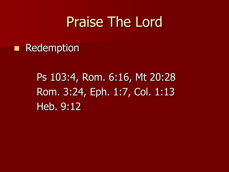#### ■ Redemption

Ps 103:4, Rom. 6:16, Mt 20:28 Rom. 3:24, Eph. 1:7, Col. 1:13 Heb. 9:12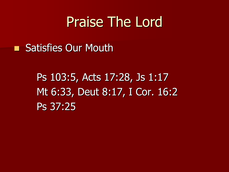■ Satisfies Our Mouth

Ps 103:5, Acts 17:28, Js 1:17 Mt 6:33, Deut 8:17, I Cor. 16:2 Ps 37:25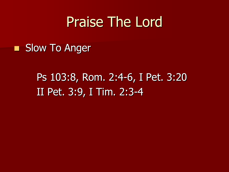#### ■ Slow To Anger

## Ps 103:8, Rom. 2:4-6, I Pet. 3:20 II Pet. 3:9, I Tim. 2:3-4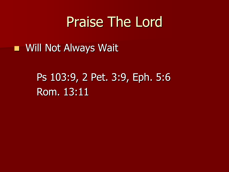#### ■ Will Not Always Wait

## Ps 103:9, 2 Pet. 3:9, Eph. 5:6 Rom. 13:11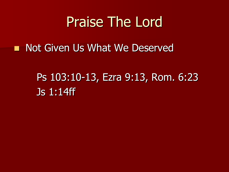■ Not Given Us What We Deserved

Ps 103:10-13, Ezra 9:13, Rom. 6:23 Js 1:14ff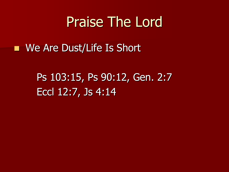■ We Are Dust/Life Is Short

Ps 103:15, Ps 90:12, Gen. 2:7 Eccl 12:7, Js 4:14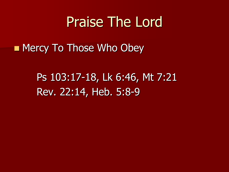■ Mercy To Those Who Obey

Ps 103:17-18, Lk 6:46, Mt 7:21 Rev. 22:14, Heb. 5:8-9